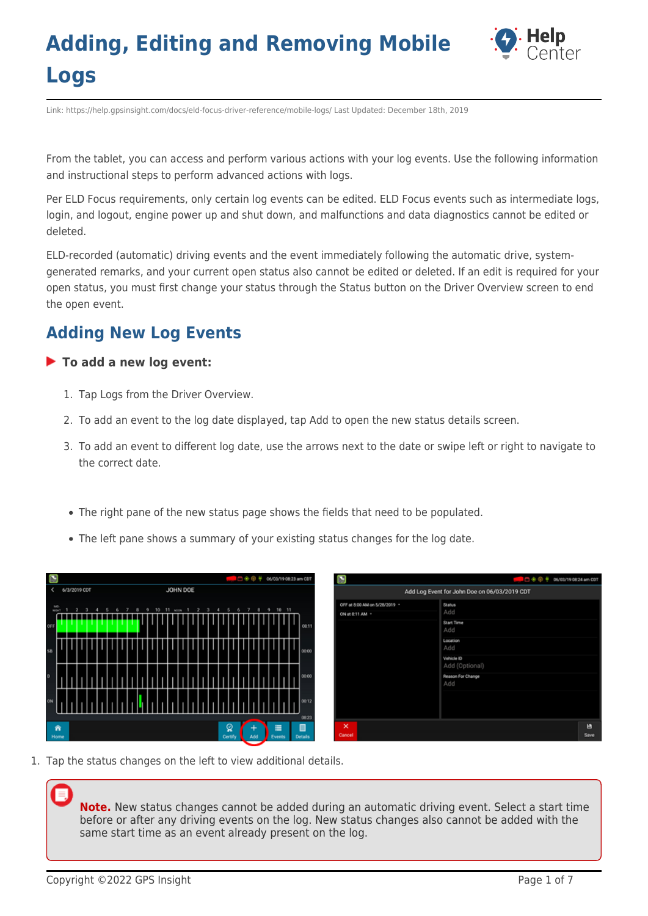

Link: https://help.gpsinsight.com/docs/eld-focus-driver-reference/mobile-logs/ Last Updated: December 18th, 2019

From the tablet, you can access and perform various actions with your log events. Use the following information and instructional steps to perform advanced actions with logs.

Per ELD Focus requirements, only certain log events can be edited. ELD Focus events such as intermediate logs, login, and logout, engine power up and shut down, and malfunctions and data diagnostics cannot be edited or deleted.

ELD-recorded (automatic) driving events and the event immediately following the automatic drive, systemgenerated remarks, and your current open status also cannot be edited or deleted. If an edit is required for your open status, you must first change your status through the Status button on the Driver Overview screen to end the open event.

### **Adding New Log Events**

### **To add a new log event:**

- 1. Tap Logs from the Driver Overview.
- 2. To add an event to the log date displayed, tap Add to open the new status details screen.
- 3. To add an event to different log date, use the arrows next to the date or swipe left or right to navigate to the correct date.
- The right pane of the new status page shows the fields that need to be populated.
- The left pane shows a summary of your existing status changes for the log date.

| Ø     |                                                                                               |  |  |                                                                          |  |  |           |  |  |  |  |  |  |  |  | □ 令 中 # 06/03/19 08:23 am CDT | Ø |                 |                               |  |                              |  |  | 0.004 | 06/03/19 08:24 am CDT |  |  |
|-------|-----------------------------------------------------------------------------------------------|--|--|--------------------------------------------------------------------------|--|--|-----------|--|--|--|--|--|--|--|--|-------------------------------|---|-----------------|-------------------------------|--|------------------------------|--|--|-------|-----------------------|--|--|
|       |                                                                                               |  |  | JOHN DOE<br>6/3/2019 CDT<br>Add Log Event for John Doe on 06/03/2019 CDT |  |  |           |  |  |  |  |  |  |  |  |                               |   |                 |                               |  |                              |  |  |       |                       |  |  |
|       | MD<br><b>MONT</b>                                                                             |  |  |                                                                          |  |  |           |  |  |  |  |  |  |  |  |                               |   |                 | OFF at 8:00 AM on 5/28/2019 - |  | Status                       |  |  |       |                       |  |  |
|       |                                                                                               |  |  |                                                                          |  |  |           |  |  |  |  |  |  |  |  |                               |   | ON at 8:11 AM - |                               |  | Add                          |  |  |       |                       |  |  |
| OFF   |                                                                                               |  |  |                                                                          |  |  |           |  |  |  |  |  |  |  |  | 08:11                         |   |                 |                               |  | Start Time<br>Add            |  |  |       |                       |  |  |
| \$8.1 |                                                                                               |  |  |                                                                          |  |  |           |  |  |  |  |  |  |  |  | 00:00                         |   |                 |                               |  | Location<br>Add              |  |  |       |                       |  |  |
|       |                                                                                               |  |  |                                                                          |  |  |           |  |  |  |  |  |  |  |  |                               |   |                 |                               |  | Vehicle ID<br>Add (Optional) |  |  |       |                       |  |  |
| $o$   |                                                                                               |  |  |                                                                          |  |  |           |  |  |  |  |  |  |  |  | 00:00                         |   |                 |                               |  | Reason For Change<br>Add     |  |  |       |                       |  |  |
| ON    |                                                                                               |  |  |                                                                          |  |  |           |  |  |  |  |  |  |  |  | 00:12                         |   |                 |                               |  |                              |  |  |       |                       |  |  |
|       | 0823<br>ୁ<br>■<br>×<br>舍<br>Ξ<br>Cancel<br><b>Details</b><br>Home<br>Certify<br>Add<br>Events |  |  |                                                                          |  |  | в<br>Save |  |  |  |  |  |  |  |  |                               |   |                 |                               |  |                              |  |  |       |                       |  |  |

1. Tap the status changes on the left to view additional details.

**Note.** New status changes cannot be added during an automatic driving event. Select a start time before or after any driving events on the log. New status changes also cannot be added with the same start time as an event already present on the log.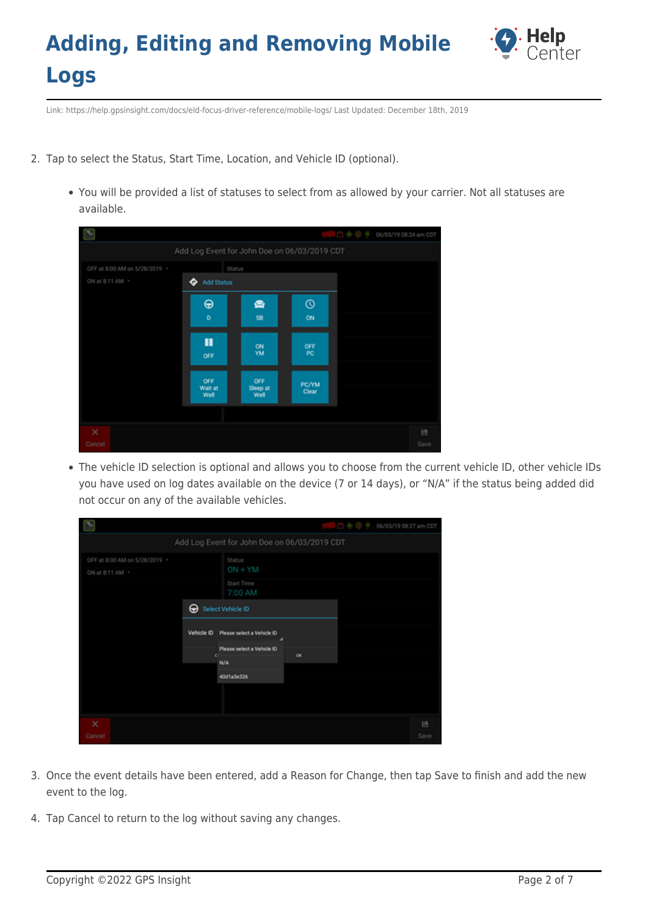

Link: https://help.gpsinsight.com/docs/eld-focus-driver-reference/mobile-logs/ Last Updated: December 18th, 2019

- 2. Tap to select the Status, Start Time, Location, and Vehicle ID (optional).
	- You will be provided a list of statuses to select from as allowed by your carrier. Not all statuses are available.

|                               |                                              |                         |                  | ⊝⊛ ⊜ ≑<br>06/03/19 08:24 am CDT |  |  |  |  |  |  |
|-------------------------------|----------------------------------------------|-------------------------|------------------|---------------------------------|--|--|--|--|--|--|
|                               | Add Log Event for John Doe on 06/03/2019 CDT |                         |                  |                                 |  |  |  |  |  |  |
| OFF at 8:00 AM on 5/28/2019 - | Status                                       |                         |                  |                                 |  |  |  |  |  |  |
| ON at 8:11 AM -               | <b>Add Status</b><br>≎                       |                         |                  |                                 |  |  |  |  |  |  |
|                               | $\bf \Theta$                                 | ఆ                       | $^\circledR$     |                                 |  |  |  |  |  |  |
|                               | D                                            | SB                      | ON               |                                 |  |  |  |  |  |  |
|                               | П<br>OFF                                     | ON<br>YM                | OFF<br><b>PC</b> |                                 |  |  |  |  |  |  |
|                               | OFF<br>Wait at<br>Well                       | OFF<br>Sleep at<br>Well | PC/YM<br>Clear   |                                 |  |  |  |  |  |  |
|                               |                                              |                         |                  |                                 |  |  |  |  |  |  |
| $\times$<br>Cancel            |                                              |                         |                  | 日<br>Save                       |  |  |  |  |  |  |

The vehicle ID selection is optional and allows you to choose from the current vehicle ID, other vehicle IDs you have used on log dates available on the device (7 or 14 days), or "N/A" if the status being added did not occur on any of the available vehicles.

|                               |                                               | ာစကမ | 06/03/19 08:27 am CDT |
|-------------------------------|-----------------------------------------------|------|-----------------------|
|                               | Add Log Event for John Doe on 06/03/2019 CDT  |      |                       |
| OFF at 8:00 AM on 5/28/2019 * | Status                                        |      |                       |
| ON at 8:11 AM -               | $ON + YM$                                     |      |                       |
|                               | Start Time<br>7:00 AM                         |      |                       |
| ⊕                             | Select Vehicle ID                             |      |                       |
|                               | Vehicle ID<br>Please select a Vehicle ID<br>ے |      |                       |
|                               | Please select a Vehicle ID<br>ex<br>е         |      |                       |
|                               | N/A                                           |      |                       |
|                               | 40d1a3e326                                    |      |                       |
|                               |                                               |      |                       |
| $\times$                      |                                               |      | 日                     |
| Cancel                        |                                               |      | Save                  |

- 3. Once the event details have been entered, add a Reason for Change, then tap Save to finish and add the new event to the log.
- 4. Tap Cancel to return to the log without saving any changes.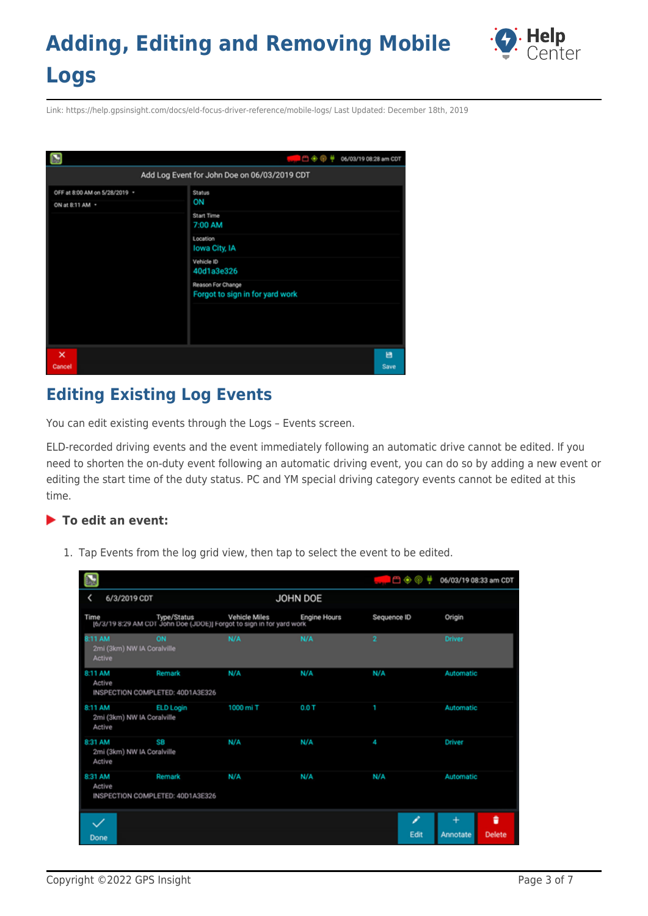

Link: https://help.gpsinsight.com/docs/eld-focus-driver-reference/mobile-logs/ Last Updated: December 18th, 2019



## **Editing Existing Log Events**

You can edit existing events through the Logs – Events screen.

ELD-recorded driving events and the event immediately following an automatic drive cannot be edited. If you need to shorten the on-duty event following an automatic driving event, you can do so by adding a new event or editing the start time of the duty status. PC and YM special driving category events cannot be edited at this time.

### **To edit an event:**

1. Tap Events from the log grid view, then tap to select the event to be edited.

|                                                 |                                            |                                                                                                         |                     | 日のの            | 06/03/19 08:33 am CDT               |
|-------------------------------------------------|--------------------------------------------|---------------------------------------------------------------------------------------------------------|---------------------|----------------|-------------------------------------|
| 6/3/2019 CDT<br><                               |                                            |                                                                                                         | JOHN DOE            |                |                                     |
| Time                                            |                                            | me Type/Status Vehicle Miles En<br>[6/3/19 8:29 AM CDT John Doe (JDOE)] Forgot to sign in tor yard work | <b>Engine Hours</b> | Sequence ID    | Origin                              |
| 8:11 AM<br>2mi (3km) NW IA Coralville<br>Active | ON                                         | N/A                                                                                                     | N/A                 | $\overline{2}$ | <b>Driver</b>                       |
| 8:11 AM<br>Active                               | Remark<br>INSPECTION COMPLETED: 40D1A3E326 | N/A                                                                                                     | N/A                 | N/A            | Automatic                           |
| 8:11 AM<br>2mi (3km) NW IA Coralville<br>Active | <b>ELD Login</b>                           | 1000 mi T                                                                                               | 0.0T                |                | Automatic                           |
| 8:31 AM<br>2mi (3km) NW IA Coralville<br>Active | SB                                         | N/A                                                                                                     | N/A                 | 4              | Driver                              |
| 8:31 AM<br>Active                               | Remark<br>INSPECTION COMPLETED: 40D1A3E326 | N/A                                                                                                     | N/A                 | N/A            | Automatic                           |
| Done                                            |                                            |                                                                                                         |                     | O<br>Edit      | t<br>÷<br><b>Delete</b><br>Annotate |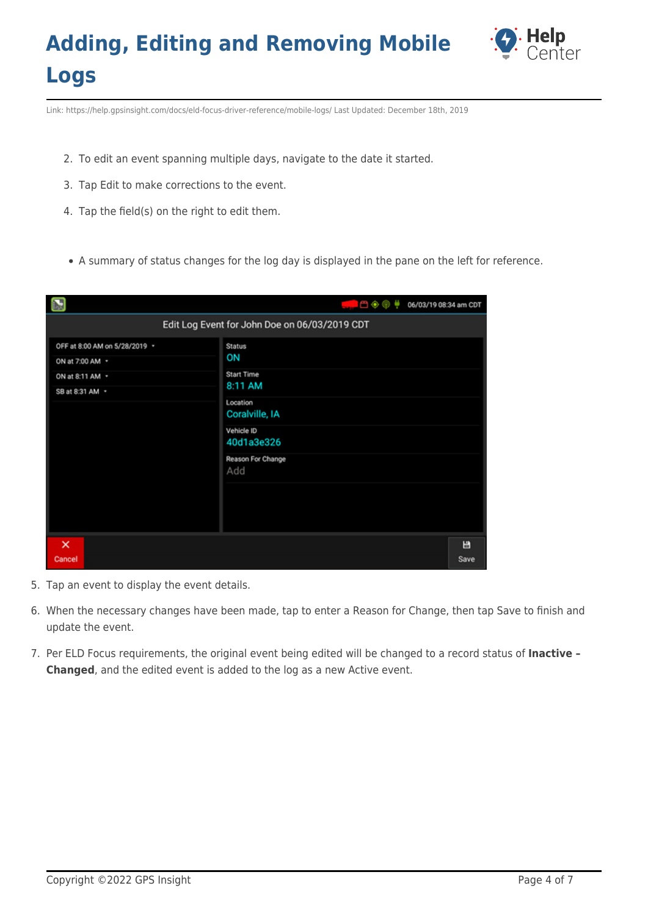

Link: https://help.gpsinsight.com/docs/eld-focus-driver-reference/mobile-logs/ Last Updated: December 18th, 2019

- 2. To edit an event spanning multiple days, navigate to the date it started.
- 3. Tap Edit to make corrections to the event.
- 4. Tap the field(s) on the right to edit them.
- A summary of status changes for the log day is displayed in the pane on the left for reference.

|                                                  | ।─●◎♥<br>06/03/19 08:34 am CDT                |
|--------------------------------------------------|-----------------------------------------------|
|                                                  | Edit Log Event for John Doe on 06/03/2019 CDT |
| OFF at 8:00 AM on 5/28/2019 ·<br>ON at 7:00 AM - | Status<br>ON                                  |
| ON at 8:11 AM *<br>SB at 8:31 AM -               | <b>Start Time</b><br>8:11 AM<br>Location      |
|                                                  | Coralville, IA<br>Vehicle ID                  |
|                                                  | 40d1a3e326<br>Reason For Change<br>Add        |
|                                                  |                                               |
| $\times$<br>Cancel                               | 日<br>Save                                     |

- 5. Tap an event to display the event details.
- 6. When the necessary changes have been made, tap to enter a Reason for Change, then tap Save to finish and update the event.
- 7. Per ELD Focus requirements, the original event being edited will be changed to a record status of **Inactive – Changed**, and the edited event is added to the log as a new Active event.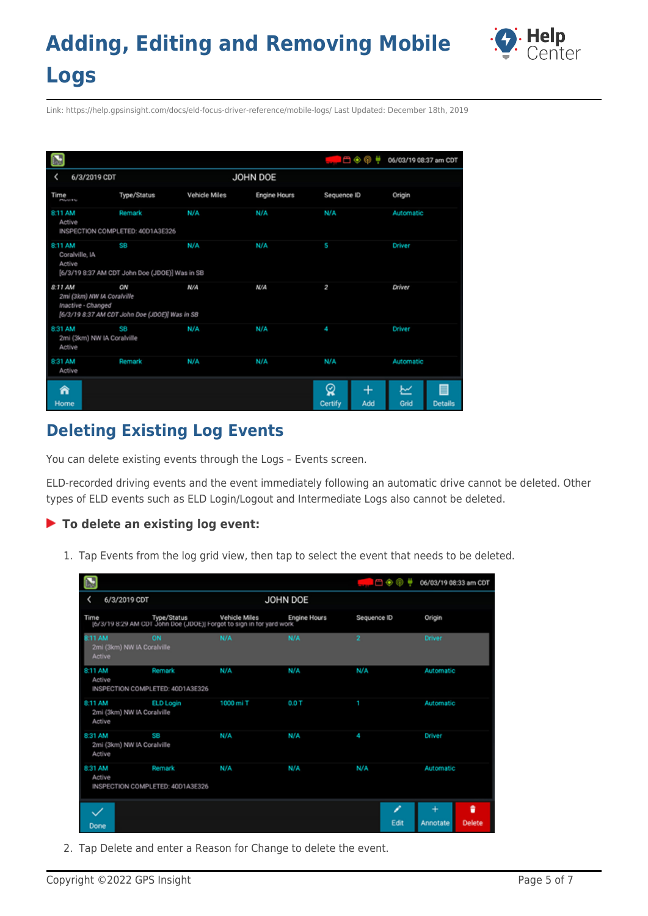

Link: https://help.gpsinsight.com/docs/eld-focus-driver-reference/mobile-logs/ Last Updated: December 18th, 2019

| $\sum$                                                      |                                                      |                      |                     | 凸๋֍֎<br>٠                | 06/03/19 08:37 am CDT       |
|-------------------------------------------------------------|------------------------------------------------------|----------------------|---------------------|--------------------------|-----------------------------|
| 6/3/2019 CDT                                                |                                                      |                      | JOHN DOE            |                          |                             |
| Time<br>PMHITE                                              | Type/Status                                          | <b>Vehicle Miles</b> | <b>Engine Hours</b> | Sequence ID              | Origin                      |
| 8:11 AM<br>Active                                           | Remark<br>INSPECTION COMPLETED: 40D1A3E326           | N/A                  | N/A                 | N/A                      | Automatic                   |
| 8:11 AM<br>Coralville, IA<br>Active                         | sв<br>[6/3/19 8:37 AM CDT John Doe (JDOE)] Was in SB | N/A                  | N/A                 | 5                        | Driver                      |
| 8:11 AM<br>2mi (3km) NW IA Coralville<br>Inactive - Changed | ON<br>[6/3/19 8:37 AM CDT John Doe (JDOE)] Was in SB | N/A                  | N/A                 | 2                        | Driver                      |
| 8:31 AM<br>2mi (3km) NW IA Coralville<br>Active             | SB                                                   | N/A                  | N/A                 | 4                        | Driver                      |
| 8:31 AM<br>Active                                           | Remark                                               | N/A                  | N/A                 | N/A                      | Automatic                   |
| ⋒<br>Home                                                   |                                                      |                      |                     | ୁ<br>♦<br>Certify<br>Add | ピ<br>Grid<br><b>Details</b> |

## **Deleting Existing Log Events**

You can delete existing events through the Logs – Events screen.

ELD-recorded driving events and the event immediately following an automatic drive cannot be deleted. Other types of ELD events such as ELD Login/Logout and Intermediate Logs also cannot be deleted.

### **To delete an existing log event:**

1. Tap Events from the log grid view, then tap to select the event that needs to be deleted.

|                                                 |                                            |                                                                                                         |                     |                | ∩⊕⊕       |               | 06/03/19 08:33 am CDT |
|-------------------------------------------------|--------------------------------------------|---------------------------------------------------------------------------------------------------------|---------------------|----------------|-----------|---------------|-----------------------|
| 6/3/2019 CDT                                    |                                            |                                                                                                         | JOHN DOE            |                |           |               |                       |
| Time                                            |                                            | me Type/Status Vehicle Miles En<br>[6/3/19 8:29 AM CDT John Doe (JDOE)] Forgot to sign in for yard work | <b>Engine Hours</b> | Sequence ID    |           | Origin        |                       |
| 8:11 AM<br>2mi (3km) NW IA Coralville<br>Active | ON                                         | N/A                                                                                                     | N/A                 | $\overline{2}$ |           | <b>Driver</b> |                       |
| 8:11 AM<br>Active                               | Remark<br>INSPECTION COMPLETED: 40D1A3E326 | N/A                                                                                                     | N/A                 | N/A            |           | Automatic     |                       |
| 8:11 AM<br>2mi (3km) NW IA Coralville<br>Active | <b>ELD Login</b>                           | 1000 mi T                                                                                               | 0.0T                | ٦              |           | Automatic     |                       |
| 8:31 AM<br>2mi (3km) NW IA Coralville<br>Active | SB                                         | N/A                                                                                                     | N/A                 | A              |           | Driver        |                       |
| 8:31 AM<br>Active                               | Remark<br>INSPECTION COMPLETED: 40D1A3E326 | N/A                                                                                                     | N/A                 | N/A            |           | Automatic     |                       |
| $\checkmark$<br>Done                            |                                            |                                                                                                         |                     |                | O<br>Edit | ÷<br>Annotate | ٠<br><b>Delete</b>    |

2. Tap Delete and enter a Reason for Change to delete the event.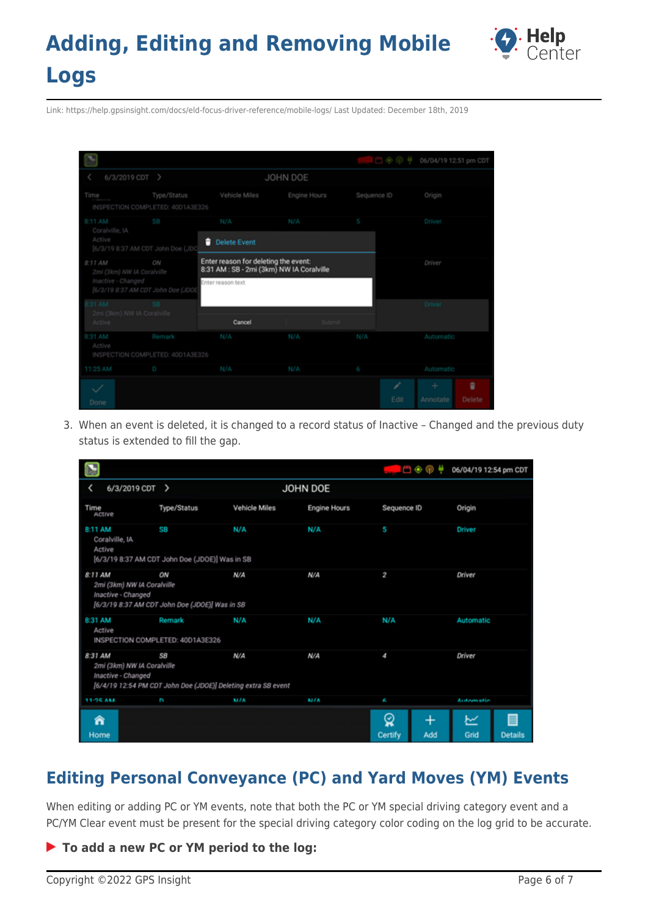

Link: https://help.gpsinsight.com/docs/eld-focus-driver-reference/mobile-logs/ Last Updated: December 18th, 2019

|                                       |                                                 |                                                                                   |              | $\circ$ $\circ$ $\circ$ $\circ$ | 06/04/19 12:51 pm CDT |
|---------------------------------------|-------------------------------------------------|-----------------------------------------------------------------------------------|--------------|---------------------------------|-----------------------|
| 6/3/2019 CDT >                        |                                                 |                                                                                   | JOHN DOE     |                                 |                       |
| Time                                  | Type/Status<br>INSPECTION COMPLETED: 40D1A3E326 | Vehicle Miles                                                                     | Engine Hours | Sequence ID                     | Origin                |
| 8:11 AM<br>Coralville, IA             | 88                                              | N/A                                                                               | N/A          | S                               | Driver                |
| Active                                | [6/3/19 8:37 AM CDT John Doe (JD)               | н<br><b>Delete Event</b>                                                          |              |                                 |                       |
| 8:11 AM<br>2mi (3km) NW IA Coralville | ON                                              | Enter reason for deleting the event:<br>8:31 AM : SB - 2mi (3km) NW IA Coralville |              |                                 | Driver                |
| Inactive - Changed                    | [6/3/19 8:37 AM CDT John Doe (JDOE              | Enter reason text                                                                 |              |                                 |                       |
| 31 AM<br>2mi (3km) NW IA Coralville   | SB.                                             |                                                                                   |              |                                 | <b>Driver</b>         |
| Active                                |                                                 | Cancel                                                                            | Submit       |                                 |                       |
| 8:31 AM<br>Active                     | Remark                                          | N/A                                                                               | N/A          | N/A                             | Automatic             |
| 11:25 AM                              | INSPECTION COMPLETED: 40D1A3E326<br>D           | N/A                                                                               | N/A          |                                 | Automatic             |
|                                       |                                                 |                                                                                   |              | 6                               |                       |
|                                       |                                                 |                                                                                   |              | F                               | ŵ<br>÷                |
| Done                                  |                                                 |                                                                                   |              | Edit                            | Delete<br>Annotate    |

3. When an event is deleted, it is changed to a record status of Inactive – Changed and the previous duty status is extended to fill the gap.

|           |                                                  |                                                                     |               |              | 白鱼卵                      | 06/04/19 12:54 pm CDT            |
|-----------|--------------------------------------------------|---------------------------------------------------------------------|---------------|--------------|--------------------------|----------------------------------|
|           | 6/3/2019 CDT >                                   |                                                                     |               | JOHN DOE     |                          |                                  |
| Time      | ACtive                                           | Type/Status                                                         | Vehicle Miles | Engine Hours | Sequence ID              | Origin                           |
| 8:11 AM   | Coralville, IA<br>Active                         | SB<br>[6/3/19 8:37 AM CDT John Doe (JDOE)] Was in SB                | N/A           | N/A          | 5                        | Driver                           |
| 8:11 AM   | 2mi (3km) NW IA Coralville<br>Inactive - Changed | ON<br>[6/3/19 8:37 AM CDT John Doe (JDOE)] Was in SB                | N/A           | N/A          | 2                        | Driver                           |
| 8:31 AM   | Active                                           | Remark<br>INSPECTION COMPLETED: 40D1A3E326                          | N/A           | N/A          | N/A                      | Automatic                        |
| 8:31 AM   | 2mi (3km) NW IA Coralville<br>Inactive - Changed | SB<br>[6/4/19 12:54 PM CDT John Doe (JDOE)] Deleting extra SB event | N/A           | N/A          | 4                        | Driver                           |
| 11-96 AM  |                                                  | 2                                                                   | M/A           | <b>M/A</b>   | ĥ.                       | Automatic                        |
| Â<br>Home |                                                  |                                                                     |               |              | ୁ<br>♦<br>Certify<br>Add | ビ<br>≣<br>Grid<br><b>Details</b> |

## **Editing Personal Conveyance (PC) and Yard Moves (YM) Events**

When editing or adding PC or YM events, note that both the PC or YM special driving category event and a PC/YM Clear event must be present for the special driving category color coding on the log grid to be accurate.

### **To add a new PC or YM period to the log:**